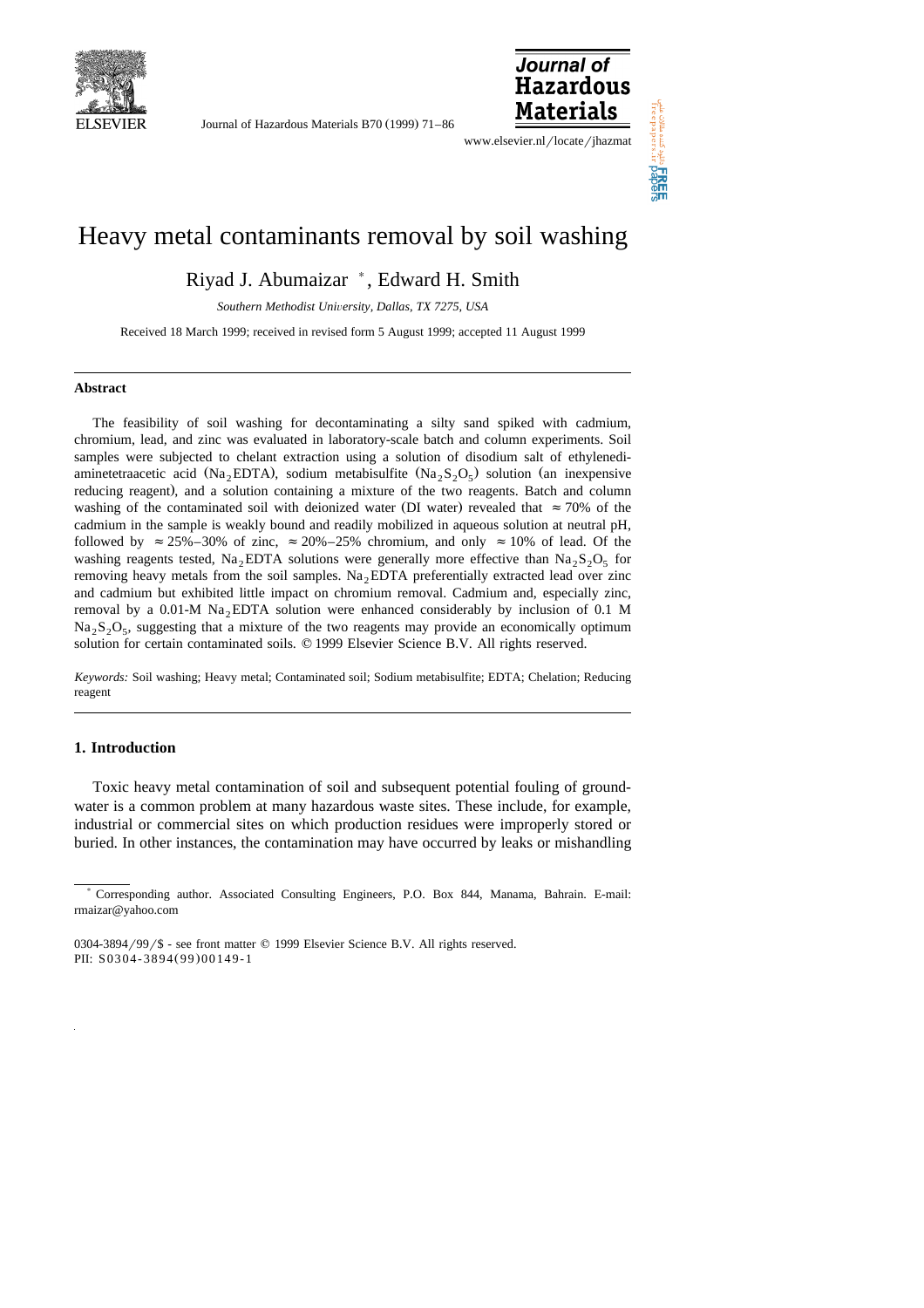

Journal of Hazardous Materials B70 (1999) 71–86



www.elsevier.nl/locate/jhazmat

# Heavy metal contaminants removal by soil washing

Riyad J. Abumaizar ), Edward H. Smith

*Southern Methodist Uni*Õ*ersity, Dallas, TX 7275, USA*

Received 18 March 1999; received in revised form 5 August 1999; accepted 11 August 1999

#### **Abstract**

The feasibility of soil washing for decontaminating a silty sand spiked with cadmium, chromium, lead, and zinc was evaluated in laboratory-scale batch and column experiments. Soil samples were subjected to chelant extraction using a solution of disodium salt of ethylenediaminetetraacetic acid (Na<sub>2</sub>EDTA), sodium metabisulfite (Na<sub>2</sub>S<sub>2</sub>O<sub>5</sub>) solution (an inexpensive reducing reagent), and a solution containing a mixture of the two reagents. Batch and column washing of the contaminated soil with deionized water (DI water) revealed that  $\approx 70\%$  of the cadmium in the sample is weakly bound and readily mobilized in aqueous solution at neutral pH, followed by  $\approx$  25%–30% of zinc,  $\approx$  20%–25% chromium, and only  $\approx$  10% of lead. Of the washing reagents tested, Na<sub>2</sub>EDTA solutions were generally more effective than Na<sub>2</sub>S<sub>2</sub>O<sub>5</sub> for removing heavy metals from the soil samples.  $Na<sub>2</sub>EDTA$  preferentially extracted lead over zinc and cadmium but exhibited little impact on chromium removal. Cadmium and, especially zinc, removal by a  $0.01-M$  Na<sub>2</sub>EDTA solution were enhanced considerably by inclusion of 0.1 M  $\text{Na}_2\text{S}_2\text{O}_5$ , suggesting that a mixture of the two reagents may provide an economically optimum solution for certain contaminated soils.  $© 1999$  Elsevier Science B.V. All rights reserved.

*Keywords:* Soil washing; Heavy metal; Contaminated soil; Sodium metabisulfite; EDTA; Chelation; Reducing reagent

# **1. Introduction**

Toxic heavy metal contamination of soil and subsequent potential fouling of groundwater is a common problem at many hazardous waste sites. These include, for example, industrial or commercial sites on which production residues were improperly stored or buried. In other instances, the contamination may have occurred by leaks or mishandling

<sup>)</sup> Corresponding author. Associated Consulting Engineers, P.O. Box 844, Manama, Bahrain. E-mail: rmaizar@yahoo.com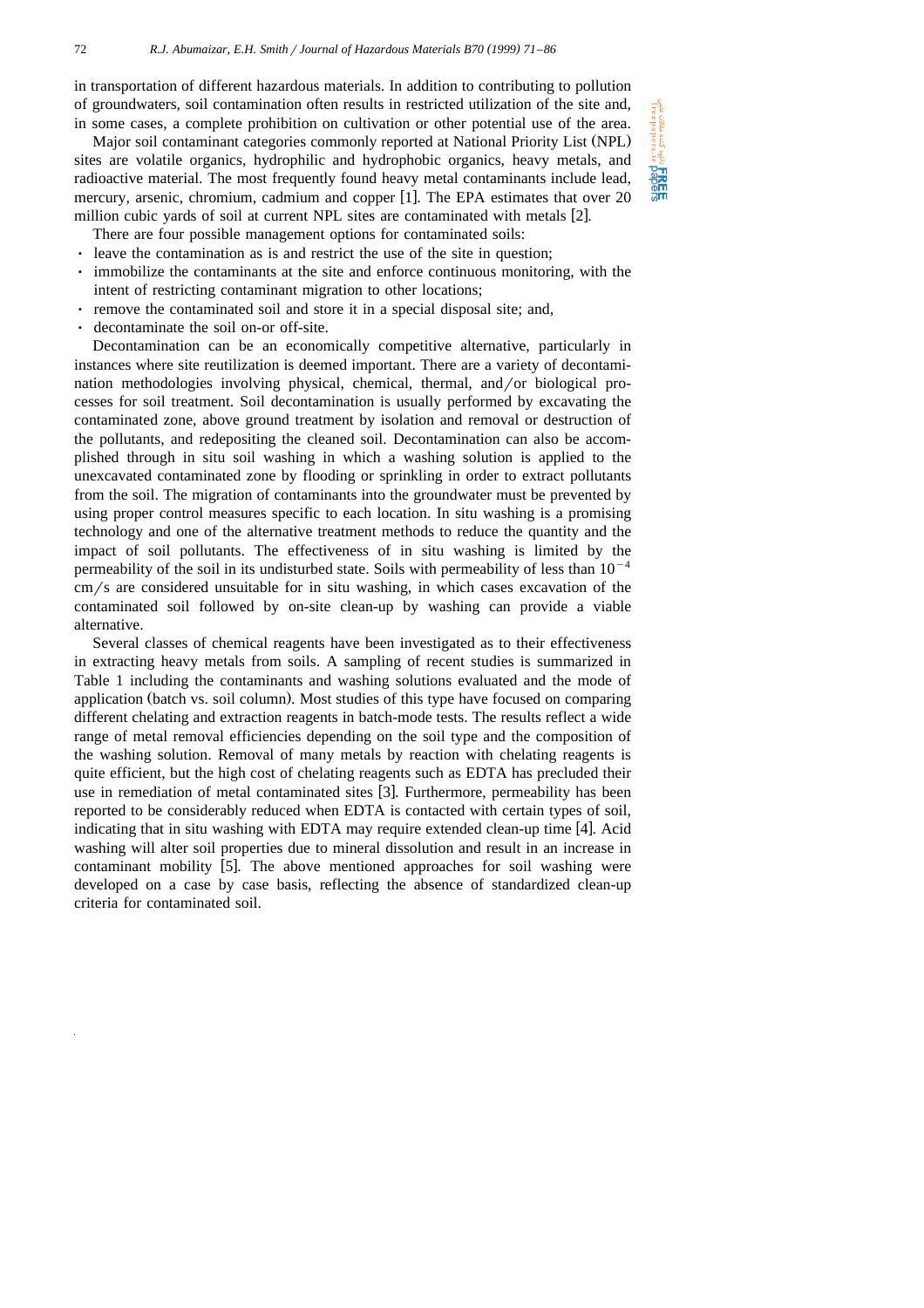in transportation of different hazardous materials. In addition to contributing to pollution of groundwaters, soil contamination often results in restricted utilization of the site and, in some cases, a complete prohibition on cultivation or other potential use of the area.

Major soil contaminant categories commonly reported at National Priority List (NPL) sites are volatile organics, hydrophilic and hydrophobic organics, heavy metals, and radioactive material. The most frequently found heavy metal contaminants include lead, mercury, arsenic, chromium, cadmium and copper [1]. The EPA estimates that over 20 million cubic yards of soil at current NPL sites are contaminated with metals  $[2]$ .

There are four possible management options for contaminated soils:

- I leave the contamination as is and restrict the use of the site in question;
- Ø immobilize the contaminants at the site and enforce continuous monitoring, with the intent of restricting contaminant migration to other locations;
- e remove the contaminated soil and store it in a special disposal site; and,
- $\cdot$  decontaminate the soil on-or off-site.

Decontamination can be an economically competitive alternative, particularly in instances where site reutilization is deemed important. There are a variety of decontamination methodologies involving physical, chemical, thermal, and/or biological processes for soil treatment. Soil decontamination is usually performed by excavating the contaminated zone, above ground treatment by isolation and removal or destruction of the pollutants, and redepositing the cleaned soil. Decontamination can also be accomplished through in situ soil washing in which a washing solution is applied to the unexcavated contaminated zone by flooding or sprinkling in order to extract pollutants from the soil. The migration of contaminants into the groundwater must be prevented by using proper control measures specific to each location. In situ washing is a promising technology and one of the alternative treatment methods to reduce the quantity and the impact of soil pollutants. The effectiveness of in situ washing is limited by the permeability of the soil in its undisturbed state. Soils with permeability of less than  $10^{-4}$  $cm/s$  are considered unsuitable for in situ washing, in which cases excavation of the contaminated soil followed by on-site clean-up by washing can provide a viable alternative.

Several classes of chemical reagents have been investigated as to their effectiveness in extracting heavy metals from soils. A sampling of recent studies is summarized in Table 1 including the contaminants and washing solutions evaluated and the mode of application (batch vs. soil column). Most studies of this type have focused on comparing different chelating and extraction reagents in batch-mode tests. The results reflect a wide range of metal removal efficiencies depending on the soil type and the composition of the washing solution. Removal of many metals by reaction with chelating reagents is quite efficient, but the high cost of chelating reagents such as EDTA has precluded their use in remediation of metal contaminated sites [3]. Furthermore, permeability has been reported to be considerably reduced when EDTA is contacted with certain types of soil, indicating that in situ washing with EDTA may require extended clean-up time  $[4]$ . Acid washing will alter soil properties due to mineral dissolution and result in an increase in contaminant mobility [5]. The above mentioned approaches for soil washing were developed on a case by case basis, reflecting the absence of standardized clean-up criteria for contaminated soil.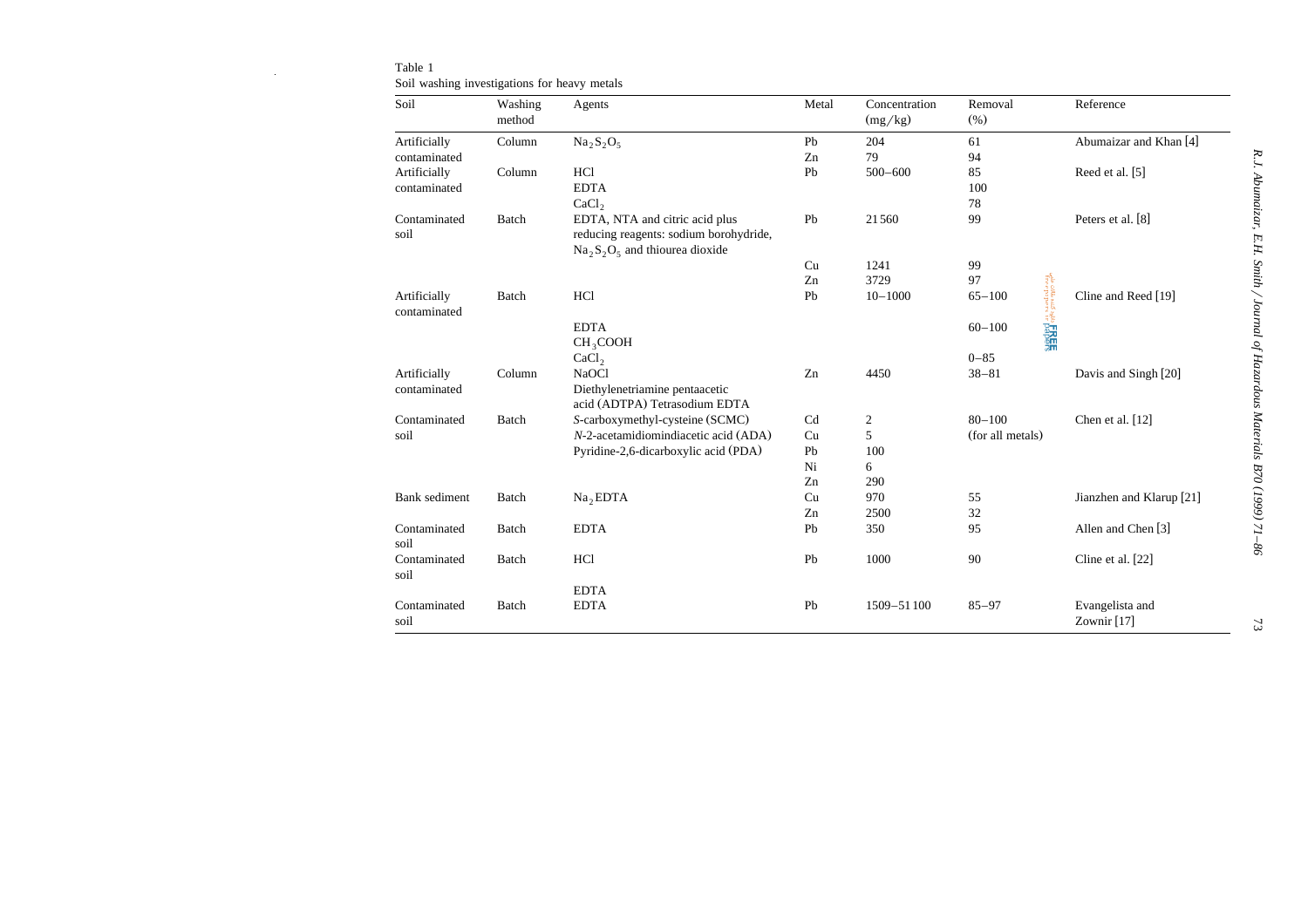| Soil                         | Washing<br>method | Agents                                 | Metal | Concentration<br>(mg/kg) | Removal<br>(% )  | Reference                                            |
|------------------------------|-------------------|----------------------------------------|-------|--------------------------|------------------|------------------------------------------------------|
| Artificially                 | Column            | $Na2S2O5$                              | Pb    | 204                      | 61               | Abumaizar and Khan [4]                               |
| contaminated                 |                   |                                        | Zn    | 79                       | 94               |                                                      |
| Artificially                 | Column            | HCl                                    | Pb    | $500 - 600$              | 85               | Reed et al. [5]                                      |
| contaminated                 |                   | <b>EDTA</b>                            |       |                          | 100              |                                                      |
|                              |                   | CaCl <sub>2</sub>                      |       |                          | 78               |                                                      |
| Contaminated                 | Batch             | EDTA, NTA and citric acid plus         | Pb    | 21560                    | 99               | Peters et al. [8]                                    |
| soil                         |                   | reducing reagents: sodium borohydride, |       |                          |                  |                                                      |
|                              |                   | $Na_2S_2O_5$ and thiourea dioxide      |       |                          |                  |                                                      |
|                              |                   |                                        | Cu    | 1241                     | 99               |                                                      |
|                              |                   |                                        | Zn    | 3729                     | 97               |                                                      |
| Artificially<br>contaminated | Batch             | HCl                                    | Pb    | $10 - 1000$              | $65 - 100$       | تنده مقالات علمي<br>Treepaper<br>Cline and Reed [19] |
|                              |                   | <b>EDTA</b>                            |       |                          | $60 - 100$       | Saghe <b>FREE</b>                                    |
|                              |                   | CH <sub>3</sub> COOH                   |       |                          |                  |                                                      |
|                              |                   | CaCl <sub>2</sub>                      |       |                          | $0 - 85$         |                                                      |
| Artificially                 | Column            | NaOCl                                  | Zn    | 4450                     | $38 - 81$        | Davis and Singh [20]                                 |
| contaminated                 |                   | Diethylenetriamine pentaacetic         |       |                          |                  |                                                      |
|                              |                   | acid (ADTPA) Tetrasodium EDTA          |       |                          |                  |                                                      |
| Contaminated                 | Batch             | S-carboxymethyl-cysteine (SCMC)        | Cd    | $\overline{2}$           | $80 - 100$       | Chen et al. [12]                                     |
| soil                         |                   | N-2-acetamidiomindiacetic acid (ADA)   | Cu    | 5                        | (for all metals) |                                                      |
|                              |                   | Pyridine-2,6-dicarboxylic acid (PDA)   | Pb    | 100                      |                  |                                                      |
|                              |                   |                                        | Ni    | 6                        |                  |                                                      |
|                              |                   |                                        | Zn    | 290                      |                  |                                                      |
| <b>Bank</b> sediment         | Batch             | Na <sub>2</sub> EDTA                   | Cu    | 970                      | 55               | Jianzhen and Klarup [21]                             |
|                              |                   |                                        | Zn    | 2500                     | 32               |                                                      |
| Contaminated                 | Batch             | <b>EDTA</b>                            | Pb    | 350                      | 95               | Allen and Chen [3]                                   |
| soil                         |                   |                                        |       |                          |                  |                                                      |
| Contaminated<br>soil         | Batch             | HC <sub>1</sub>                        | Pb    | 1000                     | 90               | Cline et al. [22]                                    |
|                              |                   | <b>EDTA</b>                            |       |                          |                  |                                                      |
| Contaminated<br>soil         | Batch             | <b>EDTA</b>                            | Pb    | 1509-51100               | $85 - 97$        | Evangelista and<br>Zownir <sup>[17]</sup>            |

Table 1Soil washing investigations for heavy metals

73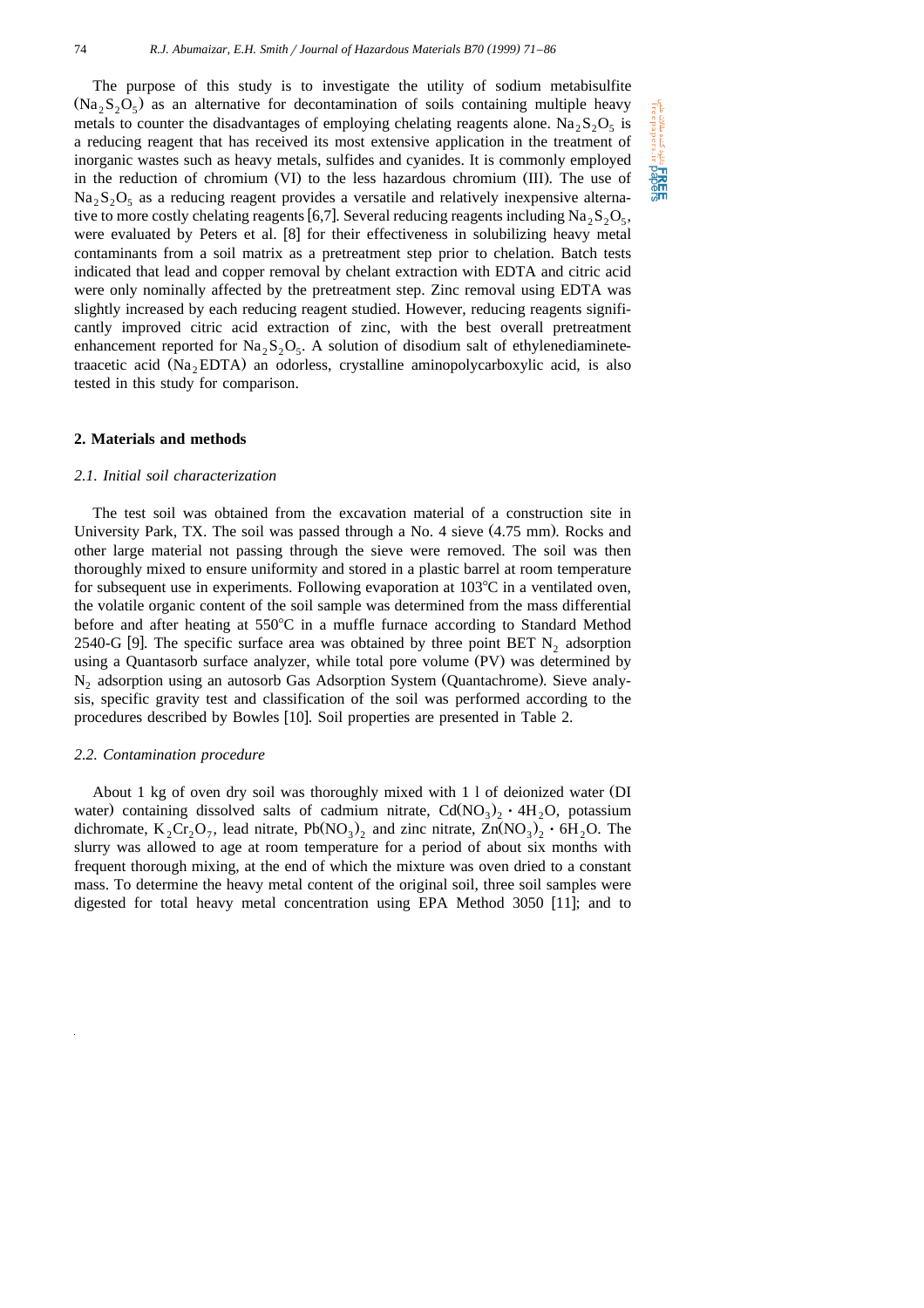The purpose of this study is to investigate the utility of sodium metabisulfite  $(Na_2S_2O_5)$  as an alternative for decontamination of soils containing multiple heavy metals to counter the disadvantages of employing chelating reagents alone. Na<sub>2</sub>S<sub>2</sub>O<sub>5</sub> is a reducing reagent that has received its most extensive application in the treatment of inorganic wastes such as heavy metals, sulfides and cyanides. It is commonly employed in the reduction of chromium (VI) to the less hazardous chromium (III). The use of  $Na_2S_2O_5$  as a reducing reagent provides a versatile and relatively inexpensive alternative to more costly chelating reagents [6,7]. Several reducing reagents including  $Na_2S_2O_5$ , were evaluated by Peters et al.  $[8]$  for their effectiveness in solubilizing heavy metal contaminants from a soil matrix as a pretreatment step prior to chelation. Batch tests indicated that lead and copper removal by chelant extraction with EDTA and citric acid were only nominally affected by the pretreatment step. Zinc removal using EDTA was slightly increased by each reducing reagent studied. However, reducing reagents significantly improved citric acid extraction of zinc, with the best overall pretreatment enhancement reported for  $Na_2S_2O_5$ . A solution of disodium salt of ethylenediaminetetraacetic acid  $(Na, EDTA)$  an odorless, crystalline aminopolycarboxylic acid, is also tested in this study for comparison.

#### **2. Materials and methods**

## *2.1. Initial soil characterization*

The test soil was obtained from the excavation material of a construction site in University Park, TX. The soil was passed through a No. 4 sieve  $(4.75 \text{ mm})$ . Rocks and other large material not passing through the sieve were removed. The soil was then thoroughly mixed to ensure uniformity and stored in a plastic barrel at room temperature for subsequent use in experiments. Following evaporation at  $103^{\circ}$ C in a ventilated oven, the volatile organic content of the soil sample was determined from the mass differential before and after heating at 550°C in a muffle furnace according to Standard Method 2540-G [9]. The specific surface area was obtained by three point BET  $N_2$  adsorption using a Quantasorb surface analyzer, while total pore volume (PV) was determined by N<sub>2</sub> adsorption using an autosorb Gas Adsorption System (Quantachrome). Sieve analysis, specific gravity test and classification of the soil was performed according to the procedures described by Bowles [10]. Soil properties are presented in Table 2.

## *2.2. Contamination procedure*

About 1 kg of oven dry soil was thoroughly mixed with 1 l of deionized water DI Ž water) containing dissolved salts of cadmium nitrate,  $Cd(NO<sub>3</sub>)<sub>2</sub> \cdot 4H<sub>2</sub>O$ , potassium dichromate,  $K_2Cr_2O_7$ , lead nitrate, Pb(NO<sub>3</sub>)<sub>2</sub> and zinc nitrate,  $Zn(NO_3)_2 \cdot 6H_2O$ . The slurry was allowed to age at room temperature for a period of about six months with frequent thorough mixing, at the end of which the mixture was oven dried to a constant mass. To determine the heavy metal content of the original soil, three soil samples were digested for total heavy metal concentration using EPA Method 3050  $[11]$ ; and to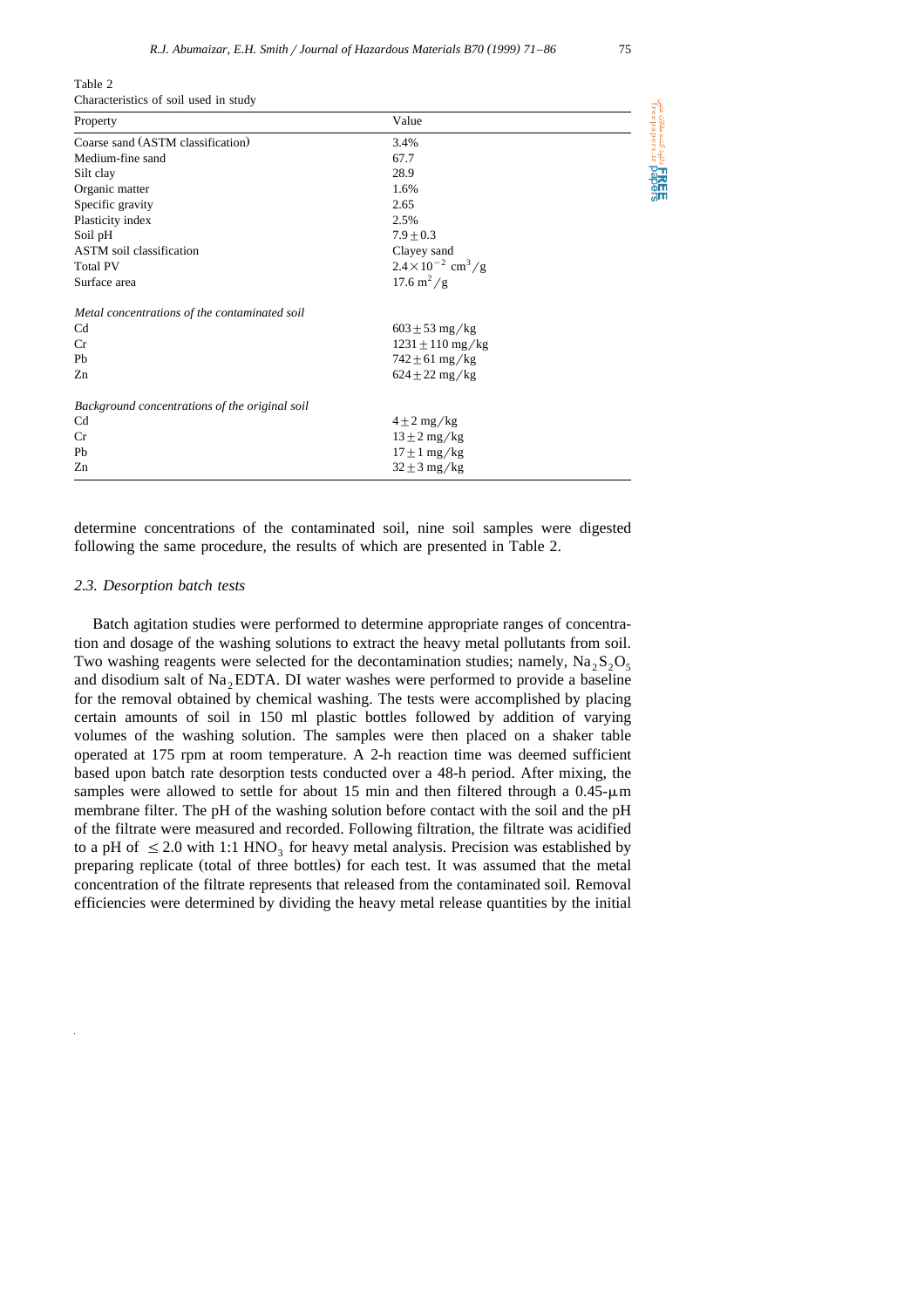ERE شوه کننده مقالات علمی<br>freepapers.ir pape

| Characteristics of soil used in study          |                                         |  |
|------------------------------------------------|-----------------------------------------|--|
| Property                                       | Value                                   |  |
| Coarse sand (ASTM classification)              | 3.4%                                    |  |
| Medium-fine sand                               | 67.7                                    |  |
| Silt clay                                      | 28.9                                    |  |
| Organic matter                                 | 1.6%                                    |  |
| Specific gravity                               | 2.65                                    |  |
| Plasticity index                               | 2.5%                                    |  |
| Soil pH                                        | $7.9 + 0.3$                             |  |
| <b>ASTM</b> soil classification                | Clayey sand                             |  |
| <b>Total PV</b>                                | $2.4 \times 10^{-2}$ cm <sup>3</sup> /g |  |
| Surface area                                   | $17.6 \text{ m}^2/\text{g}$             |  |
| Metal concentrations of the contaminated soil  |                                         |  |
| Cd                                             | $603 \pm 53 \text{ mg/kg}$              |  |
| Cr                                             | $1231 \pm 110 \,\text{mg/kg}$           |  |
| Pb                                             | $742 \pm 61 \text{ mg/kg}$              |  |
| Zn                                             | $624 \pm 22 \text{ mg/kg}$              |  |
| Background concentrations of the original soil |                                         |  |
| Cd                                             | $4 \pm 2$ mg/kg                         |  |
| Cr                                             | $13 \pm 2$ mg/kg                        |  |
| Pb                                             | $17 \pm 1$ mg/kg                        |  |

Table 2

determine concentrations of the contaminated soil, nine soil samples were digested following the same procedure, the results of which are presented in Table 2.

 $\frac{32 \pm 3 \, \text{mg/kg}}{2n}$ 

## *2.3. Desorption batch tests*

Batch agitation studies were performed to determine appropriate ranges of concentration and dosage of the washing solutions to extract the heavy metal pollutants from soil. Two washing reagents were selected for the decontamination studies; namely,  $Na_2S_2O_5$ and disodium salt of  $Na<sub>2</sub>EDTA$ . DI water washes were performed to provide a baseline for the removal obtained by chemical washing. The tests were accomplished by placing certain amounts of soil in 150 ml plastic bottles followed by addition of varying volumes of the washing solution. The samples were then placed on a shaker table operated at 175 rpm at room temperature. A 2-h reaction time was deemed sufficient based upon batch rate desorption tests conducted over a 48-h period. After mixing, the samples were allowed to settle for about 15 min and then filtered through a  $0.45$ - $\mu$ m membrane filter. The pH of the washing solution before contact with the soil and the pH of the filtrate were measured and recorded. Following filtration, the filtrate was acidified to a pH of  $\leq$  2.0 with 1:1 HNO<sub>3</sub> for heavy metal analysis. Precision was established by preparing replicate (total of three bottles) for each test. It was assumed that the metal concentration of the filtrate represents that released from the contaminated soil. Removal efficiencies were determined by dividing the heavy metal release quantities by the initial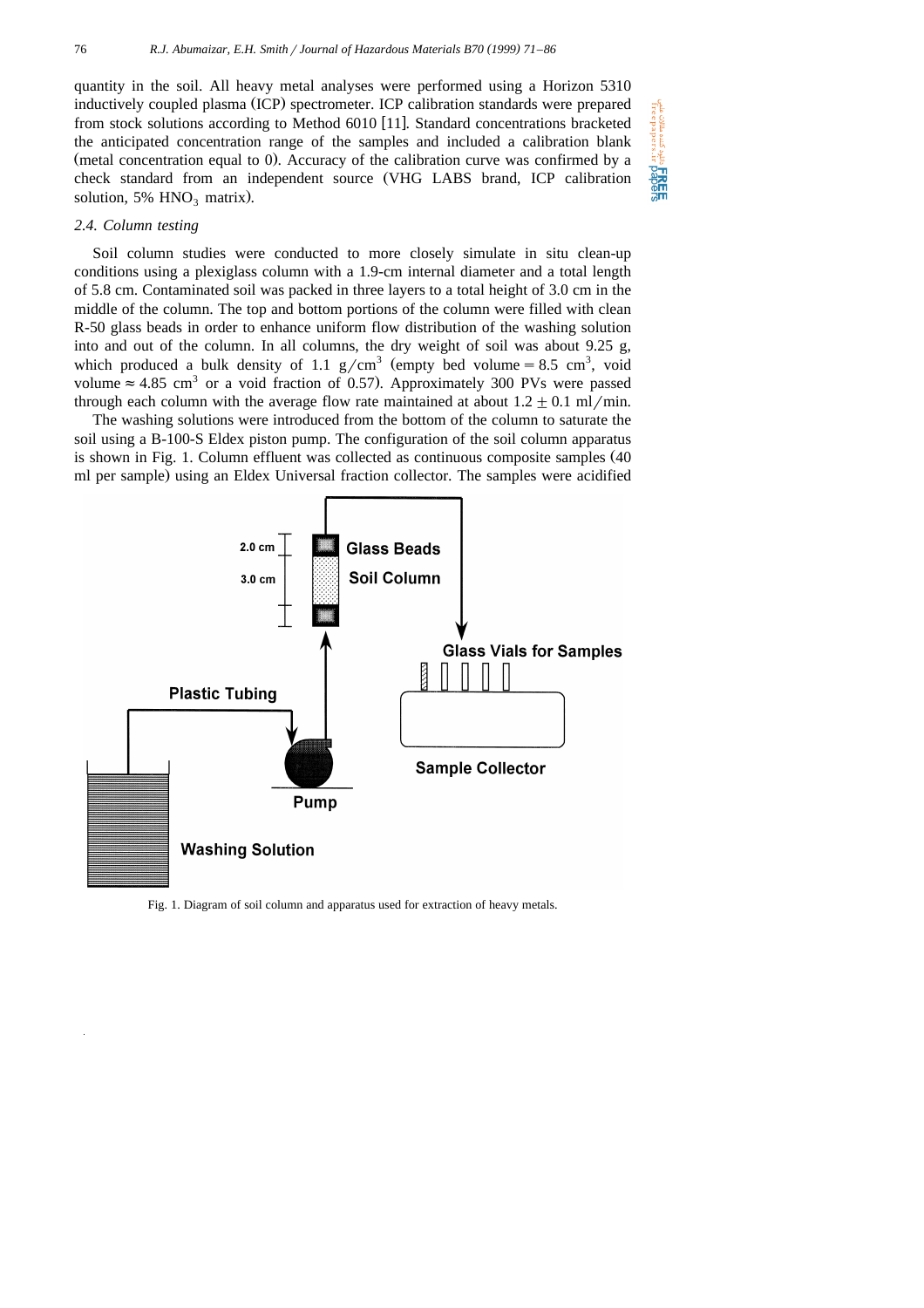quantity in the soil. All heavy metal analyses were performed using a Horizon 5310 inductively coupled plasma (ICP) spectrometer. ICP calibration standards were prepared from stock solutions according to Method  $6010$  [11]. Standard concentrations bracketed the anticipated concentration range of the samples and included a calibration blank (metal concentration equal to 0). Accuracy of the calibration curve was confirmed by a check standard from an independent source (VHG LABS brand, ICP calibration solution, 5%  $HNO<sub>3</sub>$  matrix).

## *2.4. Column testing*

Soil column studies were conducted to more closely simulate in situ clean-up conditions using a plexiglass column with a 1.9-cm internal diameter and a total length of 5.8 cm. Contaminated soil was packed in three layers to a total height of 3.0 cm in the middle of the column. The top and bottom portions of the column were filled with clean R-50 glass beads in order to enhance uniform flow distribution of the washing solution into and out of the column. In all columns, the dry weight of soil was about 9.25 g, which produced a bulk density of 1.1 g/cm<sup>3</sup> (empty bed volume = 8.5 cm<sup>3</sup>, void volume  $\approx 4.85$  cm<sup>3</sup> or a void fraction of 0.57). Approximately 300 PVs were passed through each column with the average flow rate maintained at about  $1.2 \pm 0.1$  ml/min.

The washing solutions were introduced from the bottom of the column to saturate the soil using a B-100-S Eldex piston pump. The configuration of the soil column apparatus is shown in Fig. 1. Column effluent was collected as continuous composite samples  $(40$ ml per sample) using an Eldex Universal fraction collector. The samples were acidified



Fig. 1. Diagram of soil column and apparatus used for extraction of heavy metals.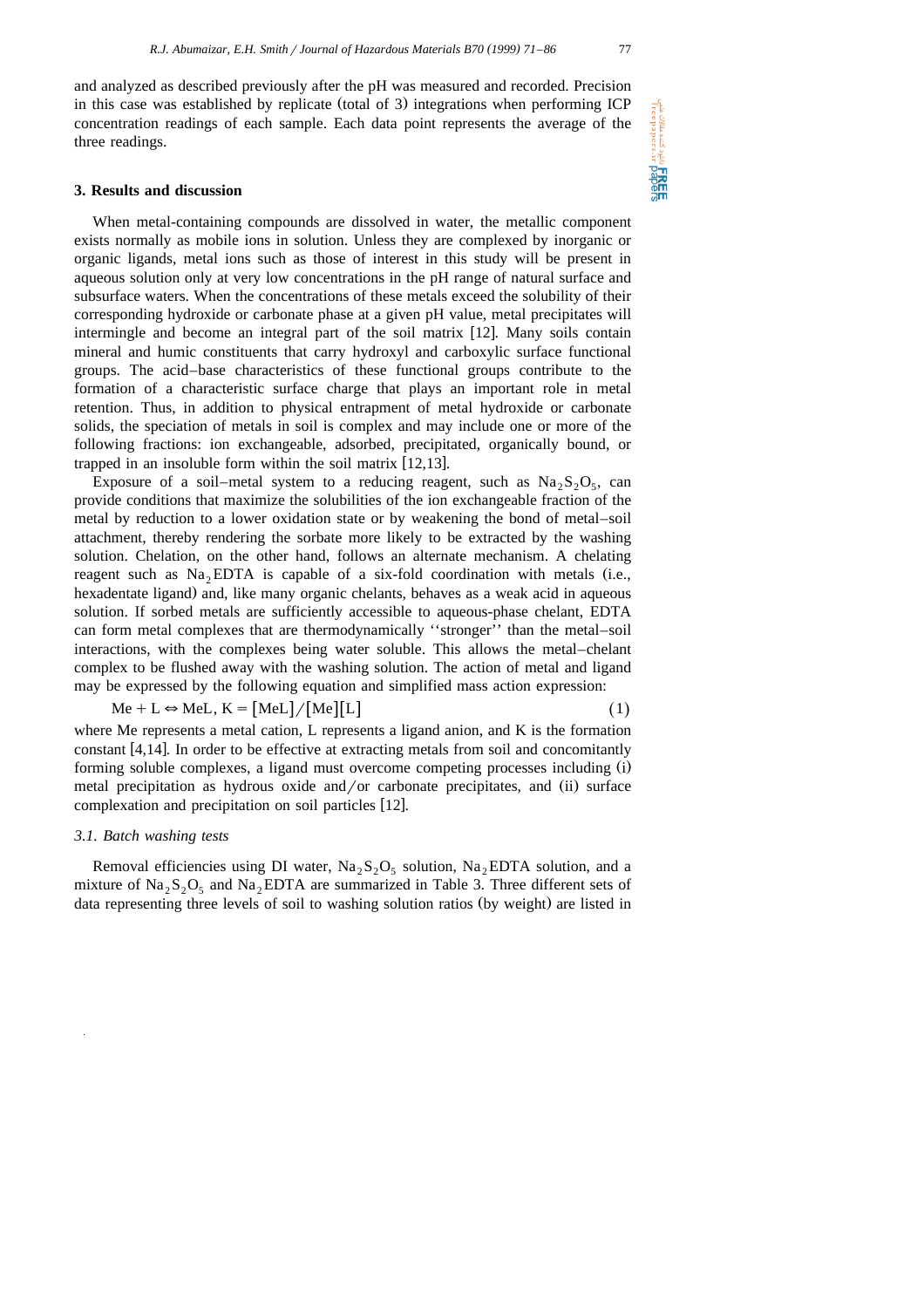and analyzed as described previously after the pH was measured and recorded. Precision in this case was established by replicate (total of 3) integrations when performing ICP concentration readings of each sample. Each data point represents the average of the three readings.

# **3. Results and discussion**

When metal-containing compounds are dissolved in water, the metallic component exists normally as mobile ions in solution. Unless they are complexed by inorganic or organic ligands, metal ions such as those of interest in this study will be present in aqueous solution only at very low concentrations in the pH range of natural surface and subsurface waters. When the concentrations of these metals exceed the solubility of their corresponding hydroxide or carbonate phase at a given pH value, metal precipitates will intermingle and become an integral part of the soil matrix  $[12]$ . Many soils contain mineral and humic constituents that carry hydroxyl and carboxylic surface functional groups. The acid–base characteristics of these functional groups contribute to the formation of a characteristic surface charge that plays an important role in metal retention. Thus, in addition to physical entrapment of metal hydroxide or carbonate solids, the speciation of metals in soil is complex and may include one or more of the following fractions: ion exchangeable, adsorbed, precipitated, organically bound, or trapped in an insoluble form within the soil matrix  $[12,13]$ .

Exposure of a soil–metal system to a reducing reagent, such as  $Na_2S_2O_5$ , can provide conditions that maximize the solubilities of the ion exchangeable fraction of the metal by reduction to a lower oxidation state or by weakening the bond of metal–soil attachment, thereby rendering the sorbate more likely to be extracted by the washing solution. Chelation, on the other hand, follows an alternate mechanism. A chelating reagent such as  $Na<sub>2</sub>EDTA$  is capable of a six-fold coordination with metals (i.e., hexadentate ligand) and, like many organic chelants, behaves as a weak acid in aqueous solution. If sorbed metals are sufficiently accessible to aqueous-phase chelant, EDTA can form metal complexes that are thermodynamically ''stronger'' than the metal–soil interactions, with the complexes being water soluble. This allows the metal–chelant complex to be flushed away with the washing solution. The action of metal and ligand may be expressed by the following equation and simplified mass action expression:

$$
Me + L \Leftrightarrow MeL, K = [MeL]/[Me][L]
$$
 (1)

where Me represents a metal cation, L represents a ligand anion, and K is the formation constant  $[4,14]$ . In order to be effective at extracting metals from soil and concomitantly forming soluble complexes, a ligand must overcome competing processes including (i) metal precipitation as hydrous oxide and/or carbonate precipitates, and (ii) surface complexation and precipitation on soil particles [12].

# *3.1. Batch washing tests*

Removal efficiencies using DI water,  $Na<sub>2</sub>S<sub>2</sub>O<sub>5</sub>$  solution,  $Na<sub>2</sub>EDTA$  solution, and a mixture of  $\text{Na}_2\text{S}_2\text{O}_5$  and  $\text{Na}_2\text{EDTA}$  are summarized in Table 3. Three different sets of data representing three levels of soil to washing solution ratios (by weight) are listed in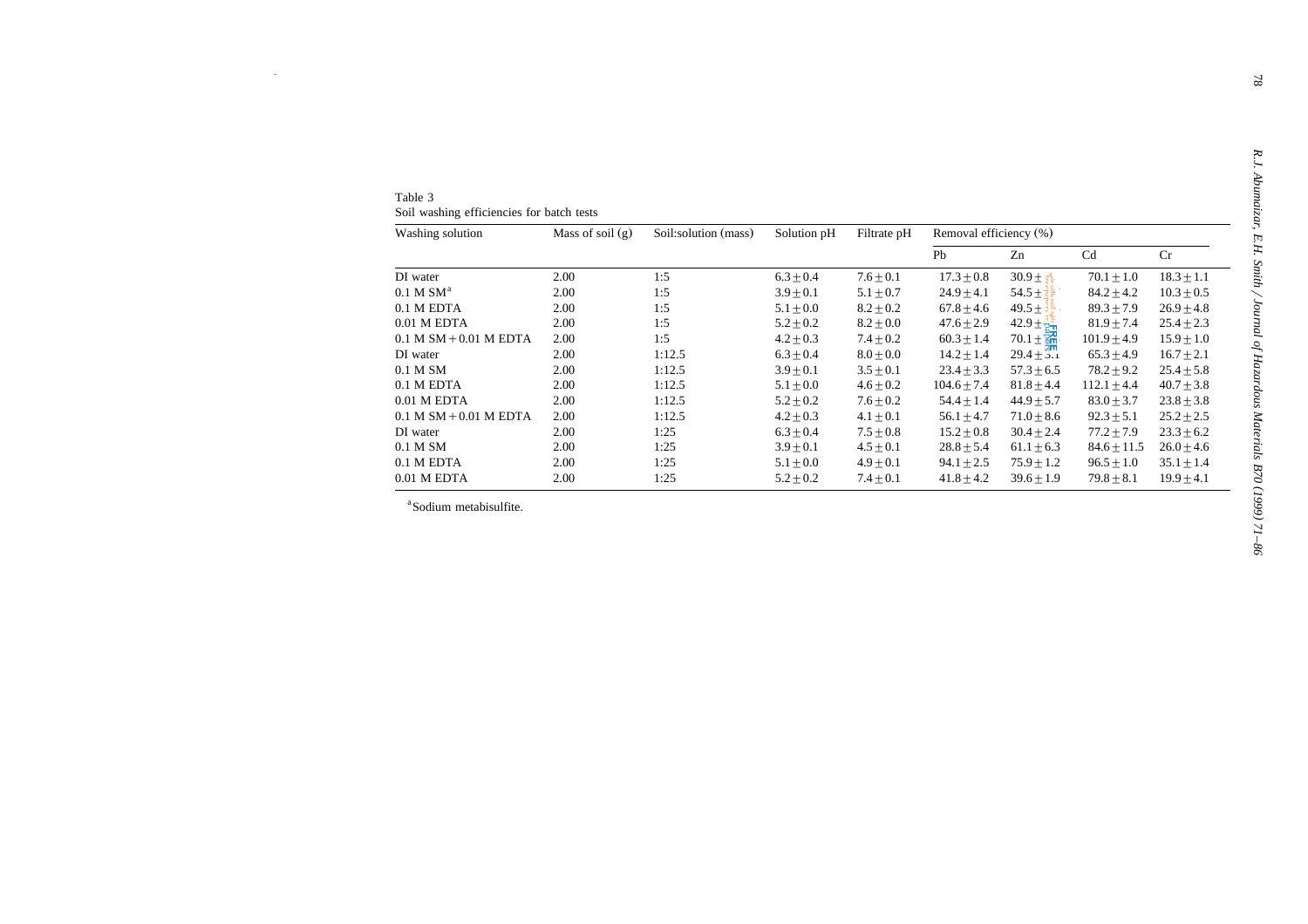| Table 3                                   |  |
|-------------------------------------------|--|
| Soil washing efficiencies for batch tests |  |

| Table 3                                   |                    |                      |               |               |                        |                          |                 |                |  |
|-------------------------------------------|--------------------|----------------------|---------------|---------------|------------------------|--------------------------|-----------------|----------------|--|
| Soil washing efficiencies for batch tests |                    |                      |               |               |                        |                          |                 |                |  |
| Washing solution                          | Mass of soil $(g)$ | Soil:solution (mass) | Solution pH   | Filtrate pH   | Removal efficiency (%) |                          |                 |                |  |
|                                           |                    |                      |               |               | Pb                     | Zn                       | Cd              | Cr             |  |
| DI water                                  | 2.00               | 1:5                  | $6.3 \pm 0.4$ | $7.6 + 0.1$   | $17.3 + 0.8$           | $30.9 + \frac{5}{24}$    | $70.1 + 1.0$    | $18.3 + 1.1$   |  |
| $0.1$ M $SMa$                             | 2.00               | 1:5                  | $3.9 \pm 0.1$ | $5.1\pm0.7$   | $24.9 \pm 4.1$         | $54.5 + \frac{1}{8}$     | $84.2 \pm 4.2$  | $10.3 \pm 0.5$ |  |
| 0.1 M EDTA                                | 2.00               | 1:5                  | $5.1 \pm 0.0$ | $8.2 \pm 0.2$ | $67.8 \pm 4.6$         | $49.5 \pm$               | $89.3 \pm 7.9$  | $26.9 \pm 4.8$ |  |
| $0.01$ M EDTA                             | 2.00               | 1:5                  | $5.2 + 0.2$   | $8.2 + 0.0$   | $47.6 + 2.9$           | $42.9 \pm \frac{35}{8}$  | $81.9 + 7.4$    | $25.4 + 2.3$   |  |
| $0.1$ M SM + 0.01 M EDTA                  | 2.00               | 1:5                  | $4.2 \pm 0.3$ | $7.4 \pm 0.2$ | $60.3 \pm 1.4$         | $70.1 \pm \frac{37}{80}$ | $101.9 \pm 4.9$ | $15.9 \pm 1.0$ |  |
| DI water                                  | 2.00               | 1:12.5               | $6.3 \pm 0.4$ | $8.0 \pm 0.0$ | $14.2 + 1.4$           | $29.4 \pm 3.1$           | $65.3 + 4.9$    | $16.7 \pm 2.1$ |  |
| 0.1 M SM                                  | 2.00               | 1:12.5               | $3.9 \pm 0.1$ | $3.5 \pm 0.1$ | $23.4 \pm 3.3$         | $57.3 \pm 6.5$           | $78.2 \pm 9.2$  | $25.4 \pm 5.8$ |  |
| 0.1 M EDTA                                | 2.00               | 1:12.5               | $5.1 \pm 0.0$ | $4.6 \pm 0.2$ | $104.6 \pm 7.4$        | $81.8 \pm 4.4$           | $112.1 \pm 4.4$ | $40.7 \pm 3.8$ |  |
| $0.01$ M EDTA                             | 2.00               | 1:12.5               | $5.2 \pm 0.2$ | $7.6 \pm 0.2$ | $54.4 \pm 1.4$         | $44.9 \pm 5.7$           | $83.0 \pm 3.7$  | $23.8 \pm 3.8$ |  |
| $0.1$ M SM $+0.01$ M EDTA                 | 2.00               | 1:12.5               | $4.2 \pm 0.3$ | $4.1 \pm 0.1$ | 56.1 $\pm$ 4.7         | $71.0 \pm 8.6$           | $92.3 \pm 5.1$  | $25.2 \pm 2.5$ |  |
| DI water                                  | 2.00               | 1:25                 | $6.3 \pm 0.4$ | $7.5 \pm 0.8$ | $15.2 \pm 0.8$         | $30.4 \pm 2.4$           | $77.2 \pm 7.9$  | $23.3 \pm 6.2$ |  |
| 0.1 M SM                                  | 2.00               | 1:25                 | $3.9 \pm 0.1$ | $4.5 \pm 0.1$ | $28.8 \pm 5.4$         | $61.1 \pm 6.3$           | $84.6 \pm 11.5$ | $26.0 \pm 4.6$ |  |
| 0.1 M EDTA                                | 2.00               | 1:25                 | $5.1 \pm 0.0$ | $4.9 \pm 0.1$ | $94.1 \pm 2.5$         | $75.9 \pm 1.2$           | $96.5 \pm 1.0$  | $35.1 \pm 1.4$ |  |
| 0.01 M EDTA                               | 2.00               | 1:25                 | $5.2 \pm 0.2$ | $7.4 \pm 0.1$ | $41.8 \pm 4.2$         | $39.6 \pm 1.9$           | $79.8 \pm 8.1$  | $19.9 \pm 4.1$ |  |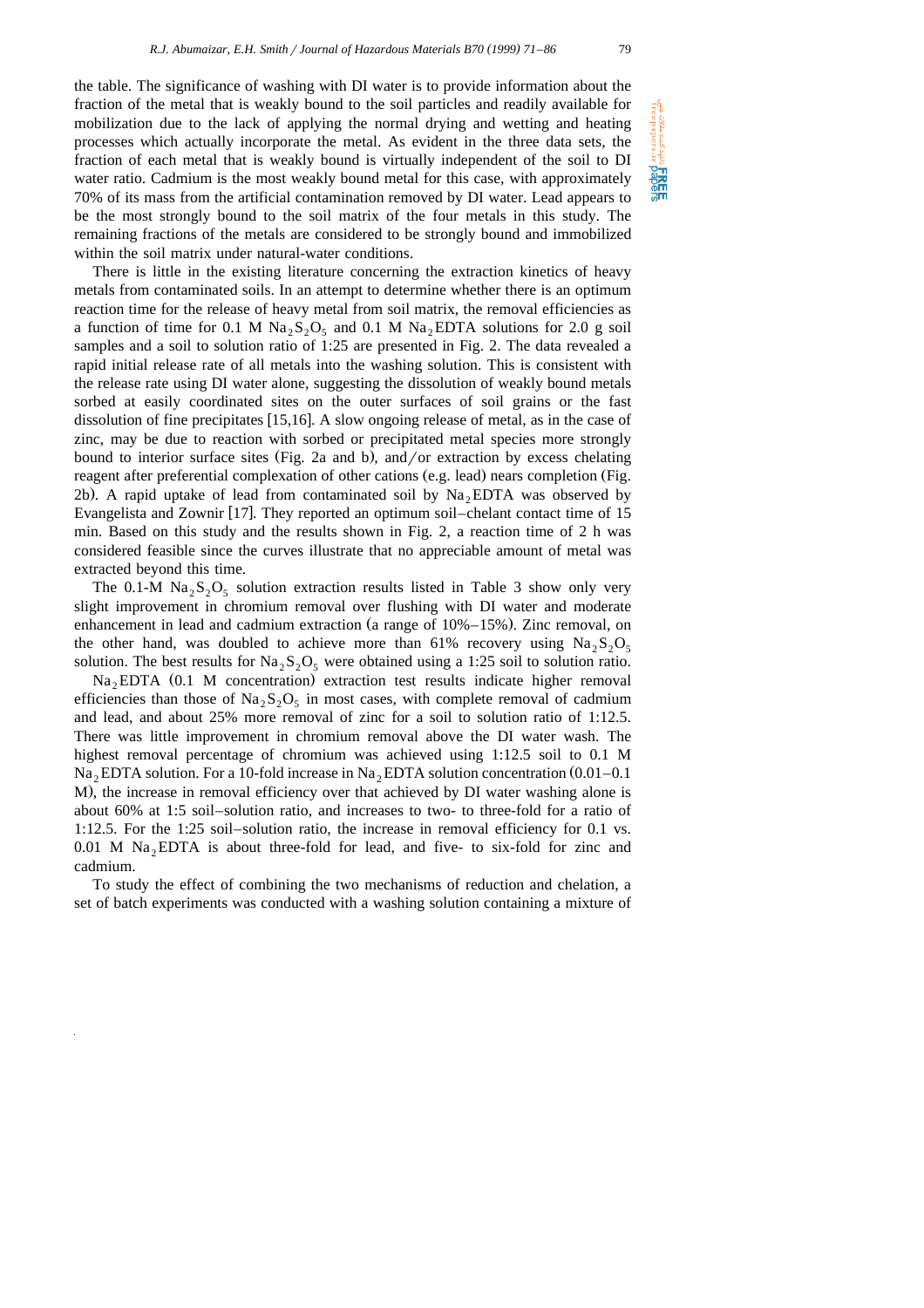دانلود کننده مقالات علمی<br>Treepapers.ir

**Pricer** 

the table. The significance of washing with DI water is to provide information about the fraction of the metal that is weakly bound to the soil particles and readily available for mobilization due to the lack of applying the normal drying and wetting and heating processes which actually incorporate the metal. As evident in the three data sets, the fraction of each metal that is weakly bound is virtually independent of the soil to DI water ratio. Cadmium is the most weakly bound metal for this case, with approximately 70% of its mass from the artificial contamination removed by DI water. Lead appears to be the most strongly bound to the soil matrix of the four metals in this study. The remaining fractions of the metals are considered to be strongly bound and immobilized within the soil matrix under natural-water conditions.

There is little in the existing literature concerning the extraction kinetics of heavy metals from contaminated soils. In an attempt to determine whether there is an optimum reaction time for the release of heavy metal from soil matrix, the removal efficiencies as a function of time for 0.1 M  $\text{Na}_2\text{S}_2\text{O}_5$  and 0.1 M  $\text{Na}_2$  EDTA solutions for 2.0 g soil samples and a soil to solution ratio of 1:25 are presented in Fig. 2. The data revealed a rapid initial release rate of all metals into the washing solution. This is consistent with the release rate using DI water alone, suggesting the dissolution of weakly bound metals sorbed at easily coordinated sites on the outer surfaces of soil grains or the fast dissolution of fine precipitates  $[15,16]$ . A slow ongoing release of metal, as in the case of zinc, may be due to reaction with sorbed or precipitated metal species more strongly bound to interior surface sites (Fig. 2a and b), and  $\sigma$  extraction by excess chelating reagent after preferential complexation of other cations (e.g. lead) nears completion (Fig. 2b). A rapid uptake of lead from contaminated soil by  $Na<sub>2</sub>EDTA$  was observed by Evangelista and Zownir [17]. They reported an optimum soil–chelant contact time of 15 min. Based on this study and the results shown in Fig. 2, a reaction time of 2 h was considered feasible since the curves illustrate that no appreciable amount of metal was extracted beyond this time.

The 0.1-M  $\text{Na}_2\text{S}_2\text{O}_5$  solution extraction results listed in Table 3 show only very slight improvement in chromium removal over flushing with DI water and moderate enhancement in lead and cadmium extraction (a range of  $10\% - 15\%$ ). Zinc removal, on the other hand, was doubled to achieve more than 61% recovery using  $Na_2S_2O_5$ solution. The best results for  $Na_2S_2O_5$  were obtained using a 1:25 soil to solution ratio.

Na<sub>2</sub>EDTA (0.1 M concentration) extraction test results indicate higher removal efficiencies than those of  $\text{Na}_2\text{S}_2\text{O}_5$  in most cases, with complete removal of cadmium and lead, and about 25% more removal of zinc for a soil to solution ratio of 1:12.5. There was little improvement in chromium removal above the DI water wash. The highest removal percentage of chromium was achieved using 1:12.5 soil to 0.1 M Na<sub>2</sub> EDTA solution. For a 10-fold increase in Na<sub>2</sub> EDTA solution concentration  $(0.01-0.1)$ M), the increase in removal efficiency over that achieved by DI water washing alone is about 60% at 1:5 soil–solution ratio, and increases to two- to three-fold for a ratio of 1:12.5. For the 1:25 soil–solution ratio, the increase in removal efficiency for 0.1 vs.  $0.01$  M Na<sub>2</sub> EDTA is about three-fold for lead, and five- to six-fold for zinc and cadmium.

To study the effect of combining the two mechanisms of reduction and chelation, a set of batch experiments was conducted with a washing solution containing a mixture of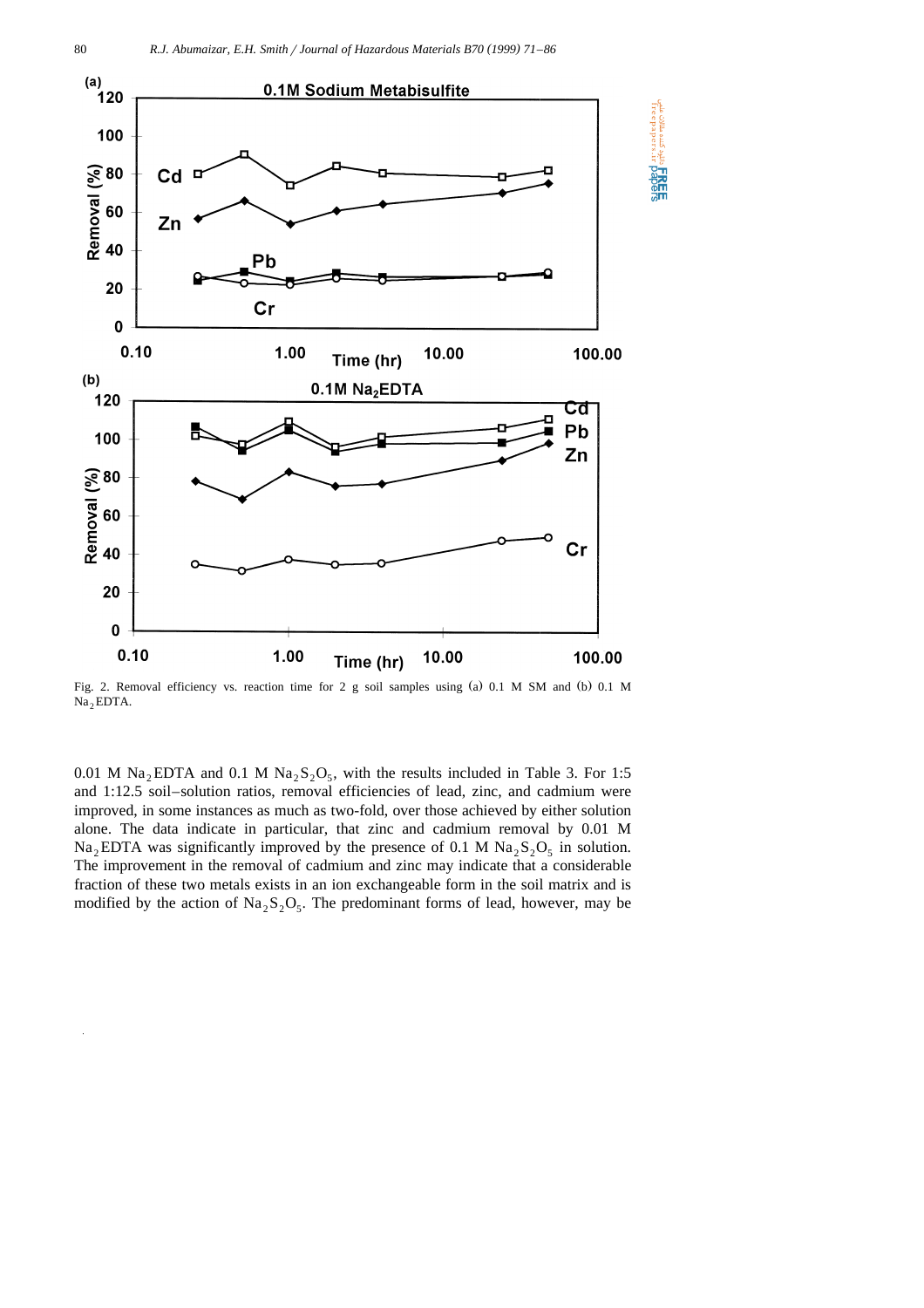slike تشده مقالات علم<br>fireepapers.ir

**HAGE**<br>**DAGE** 



Fig. 2. Removal efficiency vs. reaction time for 2 g soil samples using (a) 0.1 M SM and (b) 0.1 M Na<sub>2</sub> EDTA.

0.01 M Na<sub>2</sub> EDTA and 0.1 M Na<sub>2</sub> S<sub>2</sub>O<sub>5</sub>, with the results included in Table 3. For 1:5 and 1:12.5 soil–solution ratios, removal efficiencies of lead, zinc, and cadmium were improved, in some instances as much as two-fold, over those achieved by either solution alone. The data indicate in particular, that zinc and cadmium removal by 0.01 M  $Na<sub>2</sub>EDTA$  was significantly improved by the presence of 0.1 M  $Na<sub>2</sub>S<sub>2</sub>O<sub>5</sub>$  in solution. The improvement in the removal of cadmium and zinc may indicate that a considerable fraction of these two metals exists in an ion exchangeable form in the soil matrix and is modified by the action of  $\text{Na}_2\text{S}_2\text{O}_5$ . The predominant forms of lead, however, may be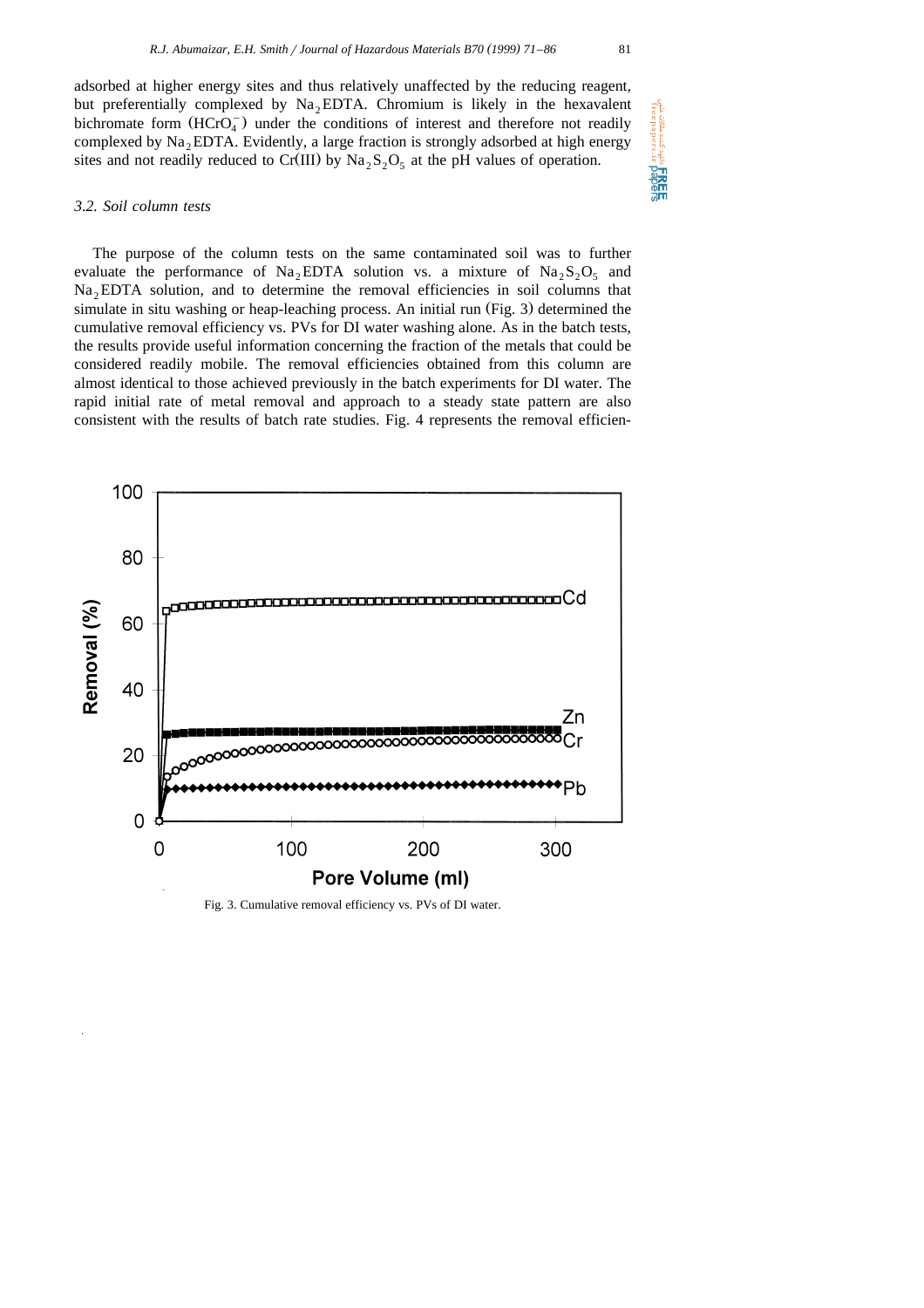adsorbed at higher energy sites and thus relatively unaffected by the reducing reagent, but preferentially complexed by  $Na<sub>2</sub>EDTA$ . Chromium is likely in the hexavalent bichromate form  $(HCrO<sub>a</sub>)$  under the conditions of interest and therefore not readily complexed by  $Na<sub>2</sub>$  EDTA. Evidently, a large fraction is strongly adsorbed at high energy sites and not readily reduced to Cr(III) by  $\text{Na}_2\text{S}_2\text{O}_5$  at the pH values of operation.

## *3.2. Soil column tests*

The purpose of the column tests on the same contaminated soil was to further evaluate the performance of Na<sub>2</sub>EDTA solution vs. a mixture of Na<sub>2</sub>S<sub>2</sub>O<sub>5</sub> and Na<sub>2</sub> EDTA solution, and to determine the removal efficiencies in soil columns that simulate in situ washing or heap-leaching process. An initial run  $(Fig. 3)$  determined the cumulative removal efficiency vs. PVs for DI water washing alone. As in the batch tests, the results provide useful information concerning the fraction of the metals that could be considered readily mobile. The removal efficiencies obtained from this column are almost identical to those achieved previously in the batch experiments for DI water. The rapid initial rate of metal removal and approach to a steady state pattern are also consistent with the results of batch rate studies. Fig. 4 represents the removal efficien-



Fig. 3. Cumulative removal efficiency vs. PVs of DI water.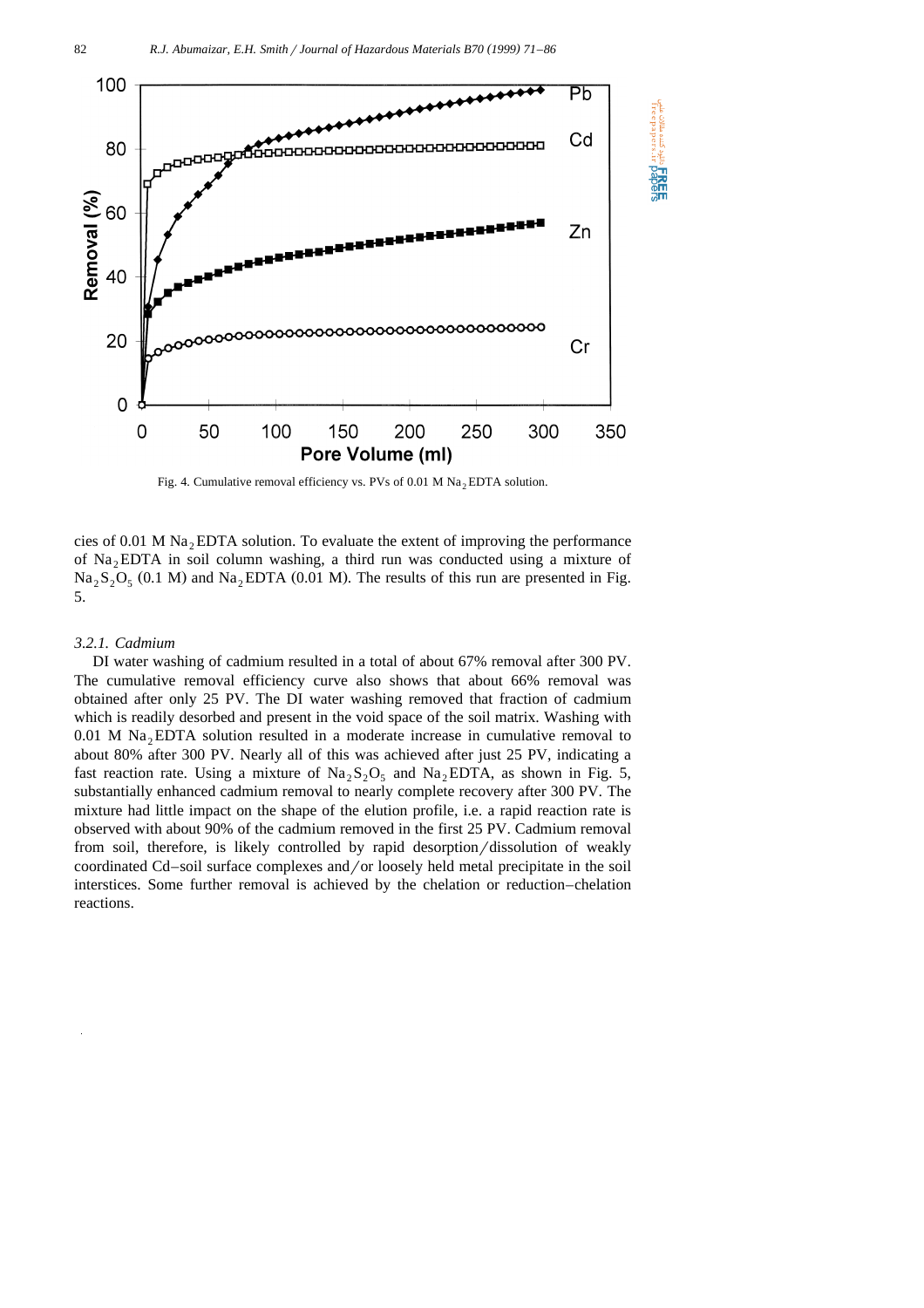

Fig. 4. Cumulative removal efficiency vs. PVs of 0.01 M  $\text{Na}_2$  EDTA solution.

cies of 0.01 M  $\text{Na}_2$  EDTA solution. To evaluate the extent of improving the performance of  $Na<sub>2</sub>EDTA$  in soil column washing, a third run was conducted using a mixture of  $\text{Na}_2\text{S}_2\text{O}_5$  (0.1 M) and  $\text{Na}_2$ EDTA (0.01 M). The results of this run are presented in Fig. 5.

## *3.2.1. Cadmium*

DI water washing of cadmium resulted in a total of about 67% removal after 300 PV. The cumulative removal efficiency curve also shows that about 66% removal was obtained after only 25 PV. The DI water washing removed that fraction of cadmium which is readily desorbed and present in the void space of the soil matrix. Washing with 0.01 M Na<sub>2</sub> EDTA solution resulted in a moderate increase in cumulative removal to about 80% after 300 PV. Nearly all of this was achieved after just 25 PV, indicating a fast reaction rate. Using a mixture of  $\text{Na}_2\text{S}_2\text{O}_5$  and  $\text{Na}_2$ EDTA, as shown in Fig. 5, substantially enhanced cadmium removal to nearly complete recovery after 300 PV. The mixture had little impact on the shape of the elution profile, i.e. a rapid reaction rate is observed with about 90% of the cadmium removed in the first 25 PV. Cadmium removal from soil, therefore, is likely controlled by rapid desorption/dissolution of weakly coordinated Cd–soil surface complexes and/or loosely held metal precipitate in the soil interstices. Some further removal is achieved by the chelation or reduction–chelation reactions.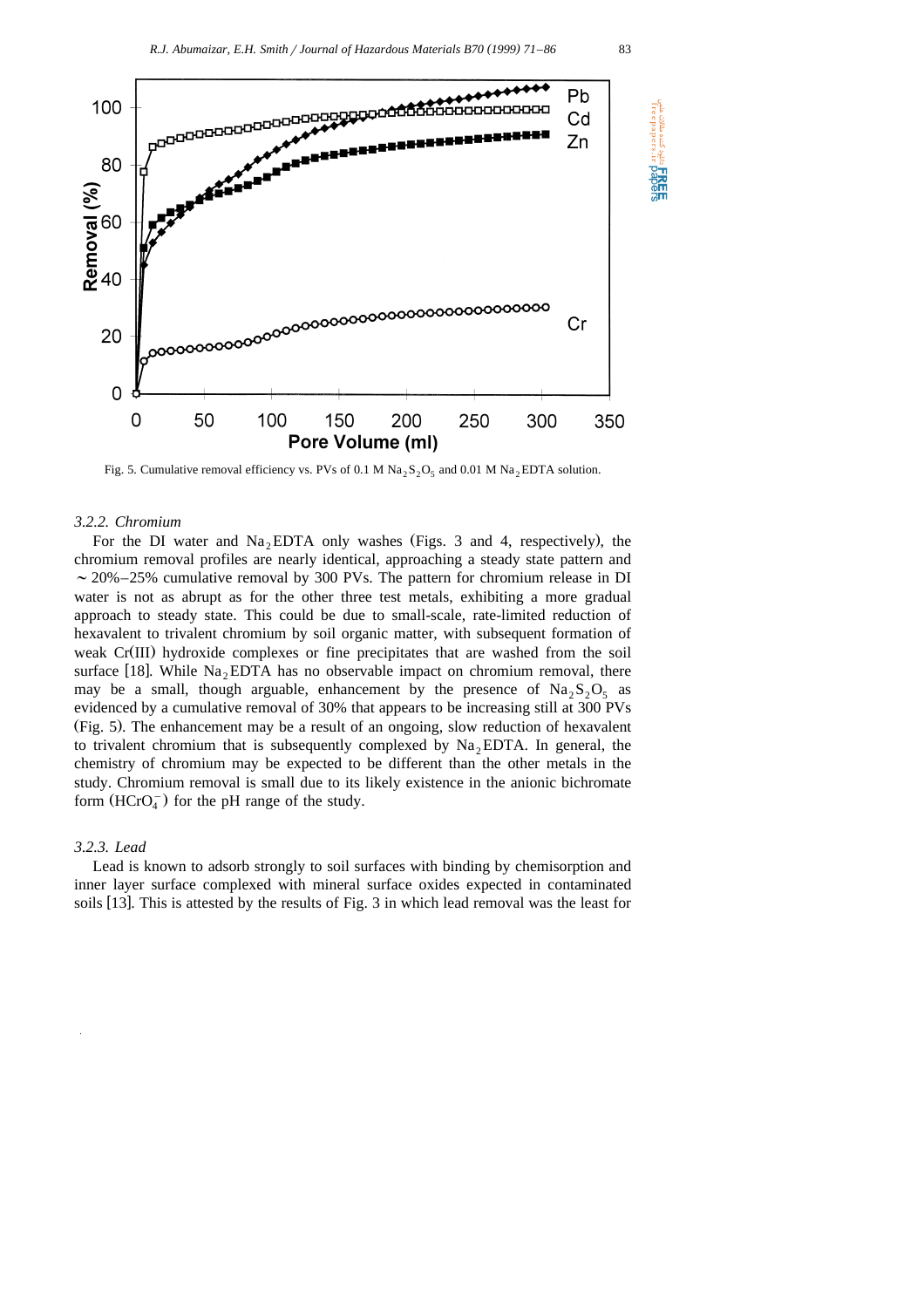

Fig. 5. Cumulative removal efficiency vs. PVs of 0.1 M Na<sub>2</sub>S<sub>2</sub>O<sub>5</sub> and 0.01 M Na<sub>2</sub>EDTA solution.

#### *3.2.2. Chromium*

For the DI water and  $Na<sub>2</sub>EDTA$  only washes (Figs. 3 and 4, respectively), the chromium removal profiles are nearly identical, approaching a steady state pattern and  $\sim$  20%–25% cumulative removal by 300 PVs. The pattern for chromium release in DI water is not as abrupt as for the other three test metals, exhibiting a more gradual approach to steady state. This could be due to small-scale, rate-limited reduction of hexavalent to trivalent chromium by soil organic matter, with subsequent formation of weak Cr(III) hydroxide complexes or fine precipitates that are washed from the soil surface [18]. While  $Na<sub>2</sub>EDTA$  has no observable impact on chromium removal, there may be a small, though arguable, enhancement by the presence of  $\text{Na}_2\text{S}_2\text{O}_5$  as evidenced by a cumulative removal of 30% that appears to be increasing still at 300 PVs Ž . Fig. 5 . The enhancement may be a result of an ongoing, slow reduction of hexavalent to trivalent chromium that is subsequently complexed by  $Na<sub>2</sub>EDTA$ . In general, the chemistry of chromium may be expected to be different than the other metals in the study. Chromium removal is small due to its likely existence in the anionic bichromate form  $(HCrO<sub>4</sub><sup>-</sup>)$  for the pH range of the study.

## *3.2.3. Lead*

Lead is known to adsorb strongly to soil surfaces with binding by chemisorption and inner layer surface complexed with mineral surface oxides expected in contaminated soils  $[13]$ . This is attested by the results of Fig. 3 in which lead removal was the least for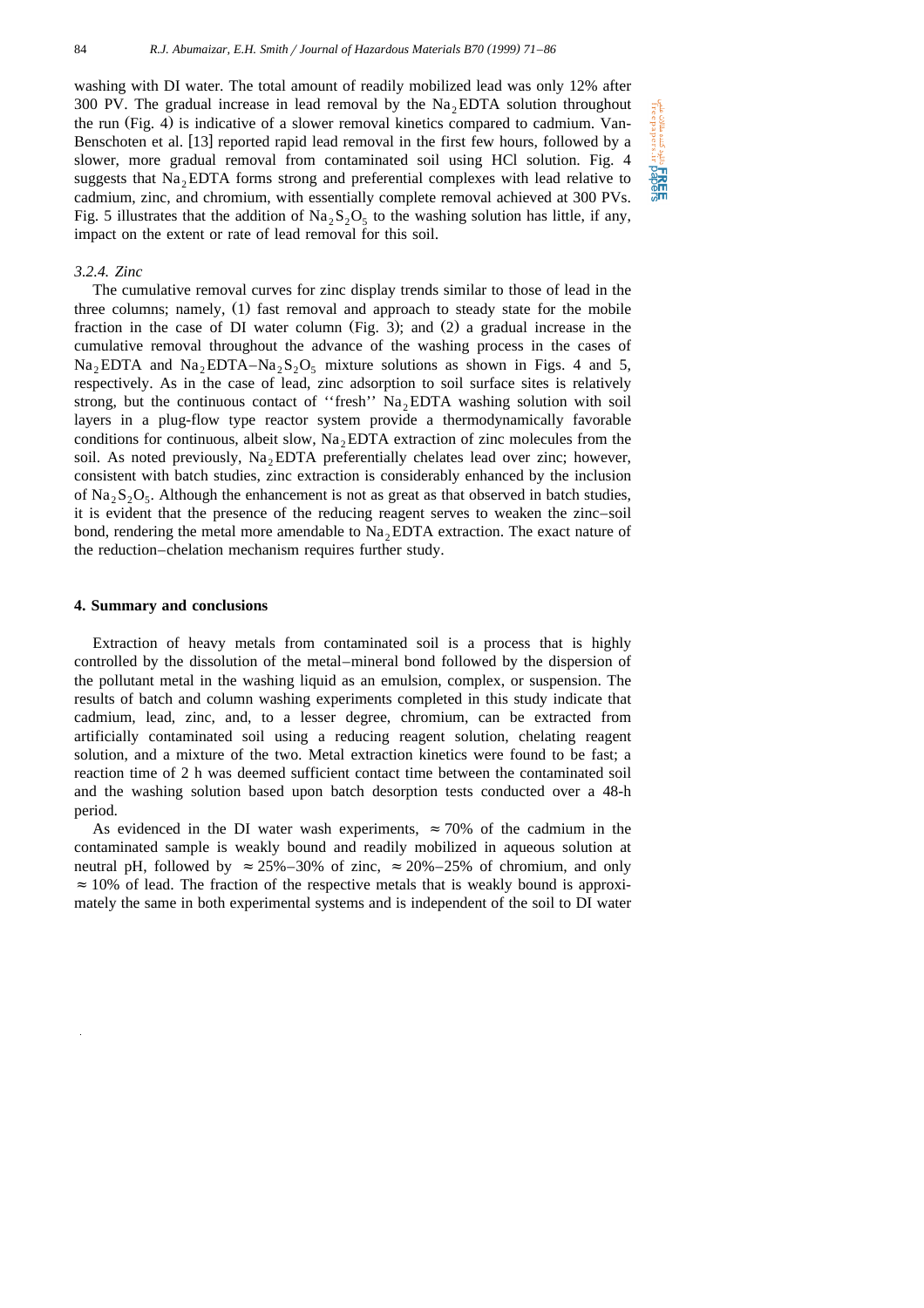Che cuta auto aus FREE

washing with DI water. The total amount of readily mobilized lead was only 12% after 300 PV. The gradual increase in lead removal by the  $Na<sub>2</sub>EDTA$  solution throughout the run (Fig. 4) is indicative of a slower removal kinetics compared to cadmium. Van-Benschoten et al. [13] reported rapid lead removal in the first few hours, followed by a slower, more gradual removal from contaminated soil using HCl solution. Fig. 4 suggests that  $Na<sub>2</sub>EDTA$  forms strong and preferential complexes with lead relative to cadmium, zinc, and chromium, with essentially complete removal achieved at 300 PVs. Fig. 5 illustrates that the addition of  $\text{Na}_2$ ,  $\text{Si}_2$  to the washing solution has little, if any, impact on the extent or rate of lead removal for this soil.

## *3.2.4. Zinc*

The cumulative removal curves for zinc display trends similar to those of lead in the three columns; namely,  $(1)$  fast removal and approach to steady state for the mobile fraction in the case of DI water column (Fig. 3); and  $(2)$  a gradual increase in the cumulative removal throughout the advance of the washing process in the cases of Na<sub>2</sub>EDTA and Na<sub>2</sub>EDTA–Na<sub>2</sub>S<sub>2</sub>O<sub>5</sub> mixture solutions as shown in Figs. 4 and 5, respectively. As in the case of lead, zinc adsorption to soil surface sites is relatively strong, but the continuous contact of "fresh"  $Na<sub>2</sub>EDTA$  washing solution with soil layers in a plug-flow type reactor system provide a thermodynamically favorable conditions for continuous, albeit slow,  $Na<sub>2</sub>EDTA$  extraction of zinc molecules from the soil. As noted previously,  $Na<sub>2</sub>EDTA preferentially chelates lead over zinc; however,$ consistent with batch studies, zinc extraction is considerably enhanced by the inclusion of  $\text{Na}_2\text{S}_2\text{O}_5$ . Although the enhancement is not as great as that observed in batch studies, it is evident that the presence of the reducing reagent serves to weaken the zinc–soil bond, rendering the metal more amendable to  $Na<sub>2</sub>EDTA$  extraction. The exact nature of the reduction–chelation mechanism requires further study.

## **4. Summary and conclusions**

Extraction of heavy metals from contaminated soil is a process that is highly controlled by the dissolution of the metal–mineral bond followed by the dispersion of the pollutant metal in the washing liquid as an emulsion, complex, or suspension. The results of batch and column washing experiments completed in this study indicate that cadmium, lead, zinc, and, to a lesser degree, chromium, can be extracted from artificially contaminated soil using a reducing reagent solution, chelating reagent solution, and a mixture of the two. Metal extraction kinetics were found to be fast; a reaction time of 2 h was deemed sufficient contact time between the contaminated soil and the washing solution based upon batch desorption tests conducted over a 48-h period.

As evidenced in the DI water wash experiments,  $\approx 70\%$  of the cadmium in the contaminated sample is weakly bound and readily mobilized in aqueous solution at neutral pH, followed by  $\approx 25\% - 30\%$  of zinc,  $\approx 20\% - 25\%$  of chromium, and only  $\approx$  10% of lead. The fraction of the respective metals that is weakly bound is approximately the same in both experimental systems and is independent of the soil to DI water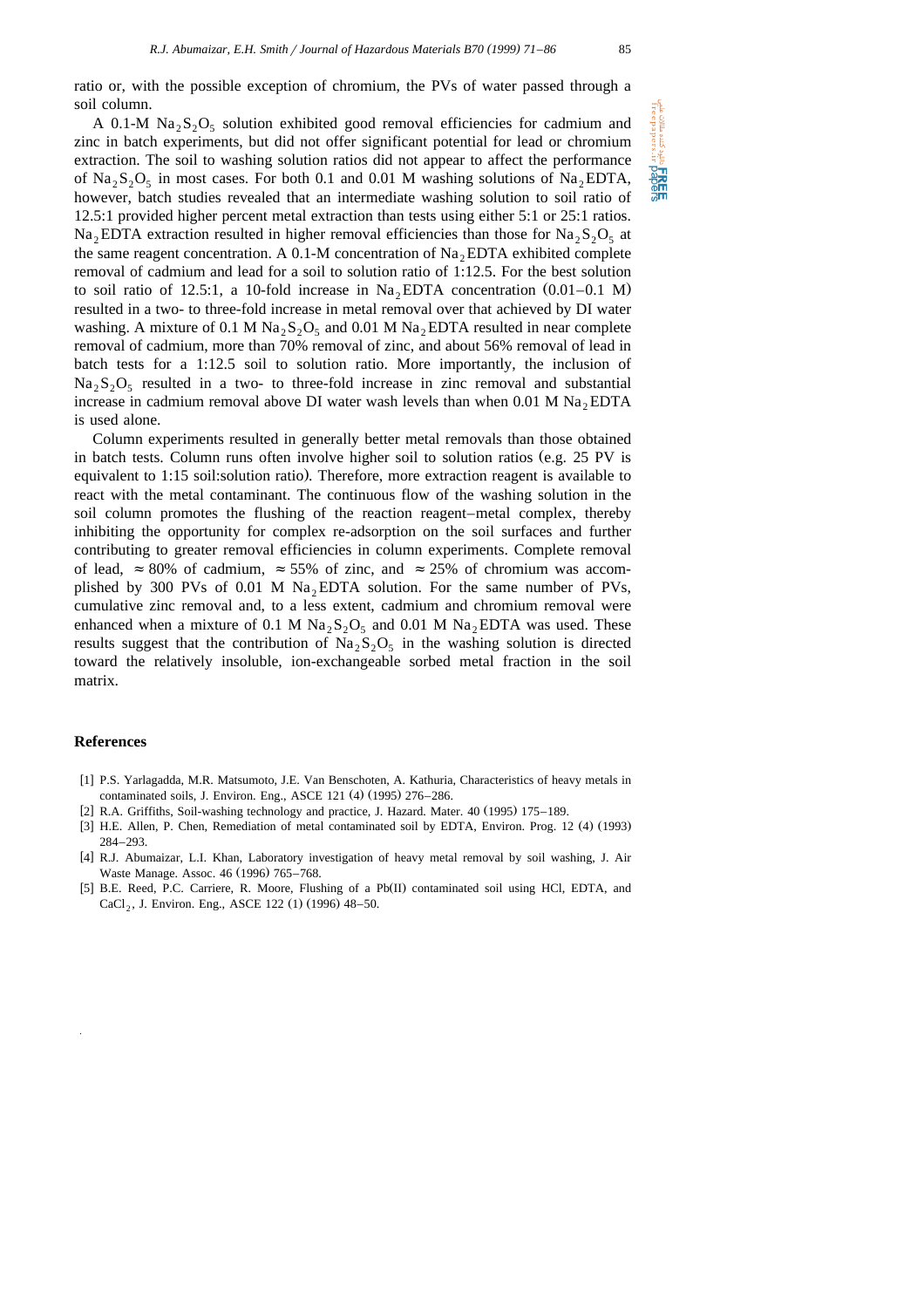A 0.1-M  $\text{Na}_2\text{S}_2\text{O}_5$  solution exhibited good removal efficiencies for cadmium and zinc in batch experiments, but did not offer significant potential for lead or chromium extraction. The soil to washing solution ratios did not appear to affect the performance of  $Na_2S_2O_5$  in most cases. For both 0.1 and 0.01 M washing solutions of Na<sub>2</sub> EDTA, however, batch studies revealed that an intermediate washing solution to soil ratio of 12.5:1 provided higher percent metal extraction than tests using either 5:1 or 25:1 ratios. Na, EDTA extraction resulted in higher removal efficiencies than those for Na,  $S_2O_5$  at the same reagent concentration. A 0.1-M concentration of  $Na<sub>2</sub>EDTA$  exhibited complete removal of cadmium and lead for a soil to solution ratio of 1:12.5. For the best solution to soil ratio of 12.5:1, a 10-fold increase in  $Na<sub>2</sub>EDTA$  concentration  $(0.01-0.1 \text{ M})$ resulted in a two- to three-fold increase in metal removal over that achieved by DI water washing. A mixture of 0.1 M Na<sub>2</sub>S<sub>2</sub>O<sub>5</sub> and 0.01 M Na<sub>2</sub> EDTA resulted in near complete removal of cadmium, more than 70% removal of zinc, and about 56% removal of lead in batch tests for a 1:12.5 soil to solution ratio. More importantly, the inclusion of  $Na_2S_2O_5$  resulted in a two- to three-fold increase in zinc removal and substantial increase in cadmium removal above DI water wash levels than when 0.01 M  $\text{Na}_2$  EDTA is used alone.

Column experiments resulted in generally better metal removals than those obtained in batch tests. Column runs often involve higher soil to solution ratios (e.g.  $25 \text{ PV}$  is equivalent to 1:15 soil:solution ratio). Therefore, more extraction reagent is available to react with the metal contaminant. The continuous flow of the washing solution in the soil column promotes the flushing of the reaction reagent–metal complex, thereby inhibiting the opportunity for complex re-adsorption on the soil surfaces and further contributing to greater removal efficiencies in column experiments. Complete removal of lead,  $\approx 80\%$  of cadmium,  $\approx 55\%$  of zinc, and  $\approx 25\%$  of chromium was accomplished by 300 PVs of 0.01 M  $Na<sub>2</sub>EDTA$  solution. For the same number of PVs, cumulative zinc removal and, to a less extent, cadmium and chromium removal were enhanced when a mixture of 0.1 M  $\text{Na}_2\text{S}_2\text{O}_5$  and 0.01 M  $\text{Na}_2$  EDTA was used. These results suggest that the contribution of  $\text{Na}_2\text{S}_2\text{O}_5$  in the washing solution is directed toward the relatively insoluble, ion-exchangeable sorbed metal fraction in the soil matrix.

## **References**

- [1] P.S. Yarlagadda, M.R. Matsumoto, J.E. Van Benschoten, A. Kathuria, Characteristics of heavy metals in contaminated soils, J. Environ. Eng., ASCE 121 (4) (1995) 276-286.
- [2] R.A. Griffiths, Soil-washing technology and practice, J. Hazard. Mater. 40 (1995) 175-189.
- [3] H.E. Allen, P. Chen, Remediation of metal contaminated soil by EDTA, Environ. Prog. 12 (4) (1993) 284–293.
- [4] R.J. Abumaizar, L.I. Khan, Laboratory investigation of heavy metal removal by soil washing, J. Air Waste Manage. Assoc. 46 (1996) 765-768.
- [5] B.E. Reed, P.C. Carriere, R. Moore, Flushing of a Pb(II) contaminated soil using HCl, EDTA, and CaCl<sub>2</sub>, J. Environ. Eng., ASCE 122 (1) (1996) 48–50.